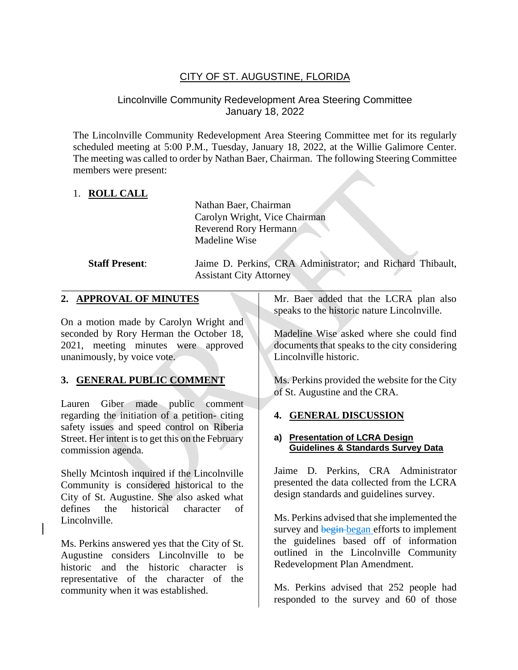# CITY OF ST. AUGUSTINE, FLORIDA

## Lincolnville Community Redevelopment Area Steering Committee January 18, 2022

The Lincolnville Community Redevelopment Area Steering Committee met for its regularly scheduled meeting at 5:00 P.M., Tuesday, January 18, 2022, at the Willie Galimore Center. The meeting was called to order by Nathan Baer, Chairman. The following Steering Committee members were present:

## 1. **ROLL CALL**

Nathan Baer, Chairman Carolyn Wright, Vice Chairman Reverend Rory Hermann Madeline Wise

**Staff Present**: Jaime D. Perkins, CRA Administrator; and Richard Thibault, Assistant City Attorney

#### **2. APPROVAL OF MINUTES**

On a motion made by Carolyn Wright and seconded by Rory Herman the October 18, 2021, meeting minutes were approved unanimously, by voice vote.

## **3. GENERAL PUBLIC COMMENT**

Lauren Giber made public comment regarding the initiation of a petition- citing safety issues and speed control on Riberia Street. Her intent is to get this on the February commission agenda.

Shelly Mcintosh inquired if the Lincolnville Community is considered historical to the City of St. Augustine. She also asked what defines the historical character of Lincolnville.

Ms. Perkins answered yes that the City of St. Augustine considers Lincolnville to be historic and the historic character is representative of the character of the community when it was established.

 $\mathcal{L} = \{ \mathcal{L} \mid \mathcal{L} \in \mathcal{L} \}$ Mr. Baer added that the LCRA plan also speaks to the historic nature Lincolnville.

> Madeline Wise asked where she could find documents that speaks to the city considering Lincolnville historic.

> Ms. Perkins provided the website for the City of St. Augustine and the CRA.

#### **4. GENERAL DISCUSSION**

#### **a) Presentation of LCRA Design Guidelines & Standards Survey Data**

Jaime D. Perkins, CRA Administrator presented the data collected from the LCRA design standards and guidelines survey.

Ms. Perkins advised that she implemented the survey and begin-began efforts to implement the guidelines based off of information outlined in the Lincolnville Community Redevelopment Plan Amendment.

Ms. Perkins advised that 252 people had responded to the survey and 60 of those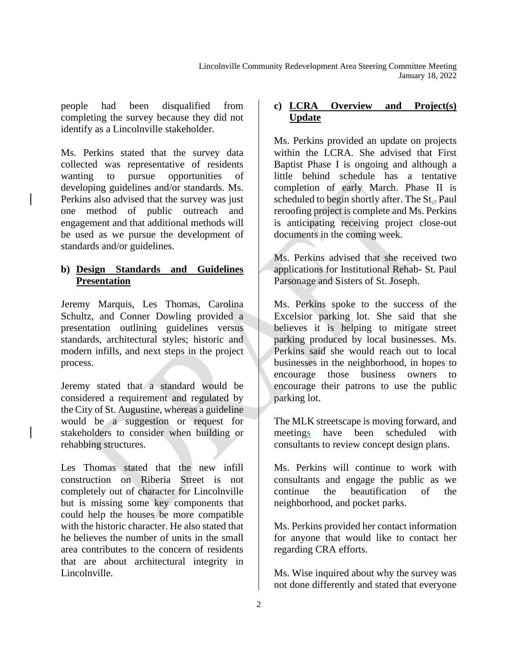people had been disqualified from completing the survey because they did not identify as a Lincolnville stakeholder.

Ms. Perkins stated that the survey data collected was representative of residents wanting to pursue opportunities of developing guidelines and/or standards. Ms. Perkins also advised that the survey was just one method of public outreach and engagement and that additional methods will be used as we pursue the development of standards and/or guidelines.

### **b) Design Standards and Guidelines Presentation**

Jeremy Marquis, Les Thomas, Carolina Schultz, and Conner Dowling provided a presentation outlining guidelines versus standards, architectural styles; historic and modern infills, and next steps in the project process.

Jeremy stated that a standard would be considered a requirement and regulated by the City of St. Augustine, whereas a guideline would be a suggestion or request for stakeholders to consider when building or rehabbing structures.

Les Thomas stated that the new infill construction on Riberia Street is not completely out of character for Lincolnville but is missing some key components that could help the houses be more compatible with the historic character. He also stated that he believes the number of units in the small area contributes to the concern of residents that are about architectural integrity in Lincolnville.

#### **c) LCRA Overview and Project(s) Update**

Ms. Perkins provided an update on projects within the LCRA. She advised that First Baptist Phase I is ongoing and although a little behind schedule has a tentative completion of early March. Phase II is scheduled to begin shortly after. The St., Paul reroofing project is complete and Ms. Perkins is anticipating receiving project close-out documents in the coming week.

Ms. Perkins advised that she received two applications for Institutional Rehab- St. Paul Parsonage and Sisters of St. Joseph.

Ms. Perkins spoke to the success of the Excelsior parking lot. She said that she believes it is helping to mitigate street parking produced by local businesses. Ms. Perkins said she would reach out to local businesses in the neighborhood, in hopes to encourage those business owners to encourage their patrons to use the public parking lot.

The MLK streetscape is moving forward, and meetings have been scheduled with consultants to review concept design plans.

Ms. Perkins will continue to work with consultants and engage the public as we continue the beautification of the neighborhood, and pocket parks.

Ms. Perkins provided her contact information for anyone that would like to contact her regarding CRA efforts.

Ms. Wise inquired about why the survey was not done differently and stated that everyone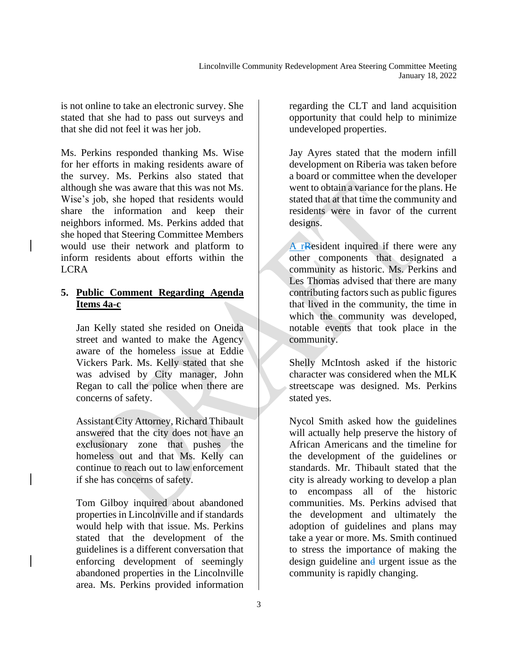is not online to take an electronic survey. She stated that she had to pass out surveys and that she did not feel it was her job.

Ms. Perkins responded thanking Ms. Wise for her efforts in making residents aware of the survey. Ms. Perkins also stated that although she was aware that this was not Ms. Wise's job, she hoped that residents would share the information and keep their neighbors informed. Ms. Perkins added that she hoped that Steering Committee Members would use their network and platform to inform residents about efforts within the LCRA

#### **5. Public Comment Regarding Agenda Items 4a-c**

Jan Kelly stated she resided on Oneida street and wanted to make the Agency aware of the homeless issue at Eddie Vickers Park. Ms. Kelly stated that she was advised by City manager, John Regan to call the police when there are concerns of safety.

Assistant City Attorney, Richard Thibault answered that the city does not have an exclusionary zone that pushes the homeless out and that Ms. Kelly can continue to reach out to law enforcement if she has concerns of safety.

Tom Gilboy inquired about abandoned properties in Lincolnville and if standards would help with that issue. Ms. Perkins stated that the development of the guidelines is a different conversation that enforcing development of seemingly abandoned properties in the Lincolnville area. Ms. Perkins provided information

regarding the CLT and land acquisition opportunity that could help to minimize undeveloped properties.

Jay Ayres stated that the modern infill development on Riberia was taken before a board or committee when the developer went to obtain a variance for the plans. He stated that at that time the community and residents were in favor of the current designs.

A rResident inquired if there were any other components that designated a community as historic. Ms. Perkins and Les Thomas advised that there are many contributing factors such as public figures that lived in the community, the time in which the community was developed, notable events that took place in the community.

Shelly McIntosh asked if the historic character was considered when the MLK streetscape was designed. Ms. Perkins stated yes.

Nycol Smith asked how the guidelines will actually help preserve the history of African Americans and the timeline for the development of the guidelines or standards. Mr. Thibault stated that the city is already working to develop a plan to encompass all of the historic communities. Ms. Perkins advised that the development and ultimately the adoption of guidelines and plans may take a year or more. Ms. Smith continued to stress the importance of making the design guideline and urgent issue as the community is rapidly changing.